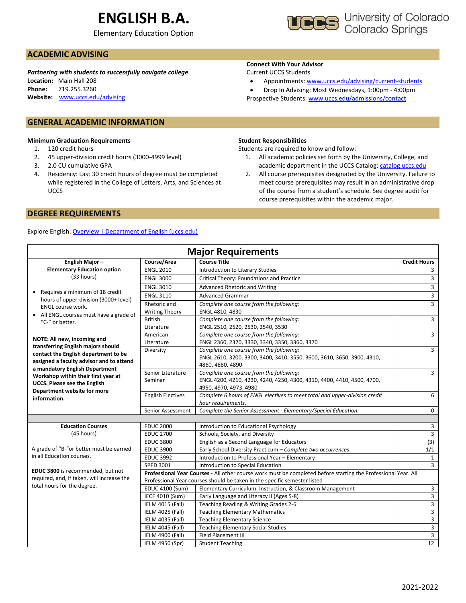# **ENGLISH B.A.**

Elementary Education Option



## **ACADEMIC ADVISING**

*Partnering with students to successfully navigate college* **Location:** Main Hall 208 **Phone:** 719.255.3260 **Website:** [www.uccs.edu/advising](http://www.uccs.edu/advising)

### **GENERAL ACADEMIC INFORMATION**

#### **Minimum Graduation Requirements**

- 1. 120 credit hours
- 2. 45 upper-division credit hours (3000-4999 level)
- 3. 2.0 CU cumulative GPA
- 4. Residency: Last 30 credit hours of degree must be completed while registered in the College of Letters, Arts, and Sciences at UCCS

### **DEGREE REQUIREMENTS**

#### Explore English: [Overview | Department of English \(uccs.edu\)](https://english.uccs.edu/overview)

### **Connect With Your Advisor**

#### Current UCCS Students

- Appointments: [www.uccs.edu/advising/current-students](http://www.uccs.edu/advising/current-students)
- Drop In Advising: Most Wednesdays, 1:00pm 4:00pm
- Prospective Students: [www.uccs.edu/admissions/contact](http://www.uccs.edu/admissions/contact)

#### **Student Responsibilities**

Students are required to know and follow:

- 1. All academic policies set forth by the University, College, and academic department in the UCCS Catalog[: catalog.uccs.edu](file://///columbia/dept/Success/Advising%20Guides/197%20Advising%20Guides/catalog.uccs.edu)
- 2. All course prerequisites designated by the University. Failure to meet course prerequisites may result in an administrative drop of the course from a student's schedule. See degree audit for course prerequisites within the academic major.

| <b>Major Requirements</b>                                                       |                          |                                                                                                                |                     |  |  |  |  |
|---------------------------------------------------------------------------------|--------------------------|----------------------------------------------------------------------------------------------------------------|---------------------|--|--|--|--|
| English Major-                                                                  | Course/Area              | <b>Course Title</b>                                                                                            | <b>Credit Hours</b> |  |  |  |  |
| <b>Elementary Education option</b>                                              | <b>ENGL 2010</b>         | Introduction to Literary Studies                                                                               | 3                   |  |  |  |  |
| (33 hours)                                                                      | <b>ENGL 3000</b>         | Critical Theory: Foundations and Practice                                                                      | $\overline{3}$      |  |  |  |  |
|                                                                                 | <b>ENGL 3010</b>         | Advanced Rhetoric and Writing                                                                                  | $\overline{3}$      |  |  |  |  |
| Requires a minimum of 18 credit<br>hours of upper-division (3000+ level)        | <b>ENGL 3110</b>         | <b>Advanced Grammar</b>                                                                                        | $\overline{3}$      |  |  |  |  |
| ENGL course work.                                                               | Rhetoric and             | Complete one course from the following:                                                                        | $\overline{3}$      |  |  |  |  |
| All ENGL courses must have a grade of                                           | <b>Writing Theory</b>    | ENGL 4810, 4830                                                                                                | $\overline{3}$      |  |  |  |  |
| "C-" or better.                                                                 | <b>British</b>           | Complete one course from the following:                                                                        |                     |  |  |  |  |
|                                                                                 | Literature               | ENGL 2510, 2520, 2530, 2540, 3530                                                                              | $\overline{3}$      |  |  |  |  |
| NOTE: All new, incoming and                                                     | American                 | Complete one course from the following:                                                                        |                     |  |  |  |  |
| transferring English majors should                                              | Literature               | ENGL 2360, 2370, 3330, 3340, 3350, 3360, 3370                                                                  |                     |  |  |  |  |
| contact the English department to be                                            | Diversity                | Complete one course from the following:                                                                        | $\overline{3}$      |  |  |  |  |
| assigned a faculty advisor and to attend                                        |                          | ENGL 2610, 3200, 3300, 3400, 3410, 3550, 3600, 3610, 3650, 3900, 4310,                                         |                     |  |  |  |  |
| a mandatory English Department                                                  |                          | 4860, 4880, 4890                                                                                               | 3                   |  |  |  |  |
| Workshop within their first year at                                             | Senior Literature        | Complete one course from the following:                                                                        |                     |  |  |  |  |
| <b>UCCS. Please see the English</b>                                             | Seminar                  | ENGL 4200, 4210, 4230, 4240, 4250, 4300, 4310, 4400, 4410, 4500, 4700,                                         |                     |  |  |  |  |
| Department website for more                                                     |                          | 4950, 4970, 4973, 4980                                                                                         |                     |  |  |  |  |
| information.                                                                    | <b>English Electives</b> | Complete 6 hours of ENGL electives to meet total and upper-division credit                                     | 6                   |  |  |  |  |
|                                                                                 |                          | hour requirements.                                                                                             |                     |  |  |  |  |
|                                                                                 | Senior Assessment        | Complete the Senior Assessment - Elementary/Special Education.                                                 | $\Omega$            |  |  |  |  |
|                                                                                 |                          |                                                                                                                |                     |  |  |  |  |
| <b>Education Courses</b>                                                        | <b>EDUC 2000</b>         | Introduction to Educational Psychology                                                                         | 3                   |  |  |  |  |
| (45 hours)                                                                      | <b>EDUC 2700</b>         | Schools, Society, and Diversity                                                                                | $\overline{3}$      |  |  |  |  |
|                                                                                 | <b>EDUC 3800</b>         | English as a Second Language for Educators                                                                     | (3)                 |  |  |  |  |
| A grade of "B-"or better must be earned                                         | <b>EDUC 3900</b>         | Early School Diversity Practicum - Complete two occurrences                                                    | 1/1                 |  |  |  |  |
| in all Education courses.                                                       | <b>EDUC 3992</b>         | Introduction to Professional Year - Elementary                                                                 | $\mathbf{1}$        |  |  |  |  |
|                                                                                 | SPED 3001                | Introduction to Special Education                                                                              | $\overline{3}$      |  |  |  |  |
| EDUC 3800 is recommended, but not<br>required, and, if taken, will increase the |                          | Professional Year Courses - All other course work must be completed before starting the Professional Year. All |                     |  |  |  |  |
| total hours for the degree.                                                     |                          | Professional Year courses should be taken in the specific semester listed                                      |                     |  |  |  |  |
|                                                                                 | EDUC 4100 (Sum)          | Elementary Curriculum, Instruction, & Classroom Management                                                     | 3                   |  |  |  |  |
|                                                                                 | IECE 4010 (Sum)          | Early Language and Literacy II (Ages 5-8)                                                                      | $\overline{3}$      |  |  |  |  |
|                                                                                 | IELM 4015 (Fall)         | Teaching Reading & Writing Grades 2-6                                                                          | $\overline{3}$      |  |  |  |  |
|                                                                                 | IELM 4025 (Fall)         | <b>Teaching Elementary Mathematics</b>                                                                         | $\mathbf{3}$        |  |  |  |  |
|                                                                                 | IELM 4035 (Fall)         | <b>Teaching Elementary Science</b>                                                                             | $\overline{3}$      |  |  |  |  |
|                                                                                 | IELM 4045 (Fall)         | <b>Teaching Elementary Social Studies</b>                                                                      | $\overline{3}$      |  |  |  |  |
|                                                                                 | IELM 4900 (Fall)         | Field Placement III                                                                                            | $\overline{3}$      |  |  |  |  |
|                                                                                 | IELM 4950 (Spr)          | <b>Student Teaching</b>                                                                                        | 12                  |  |  |  |  |